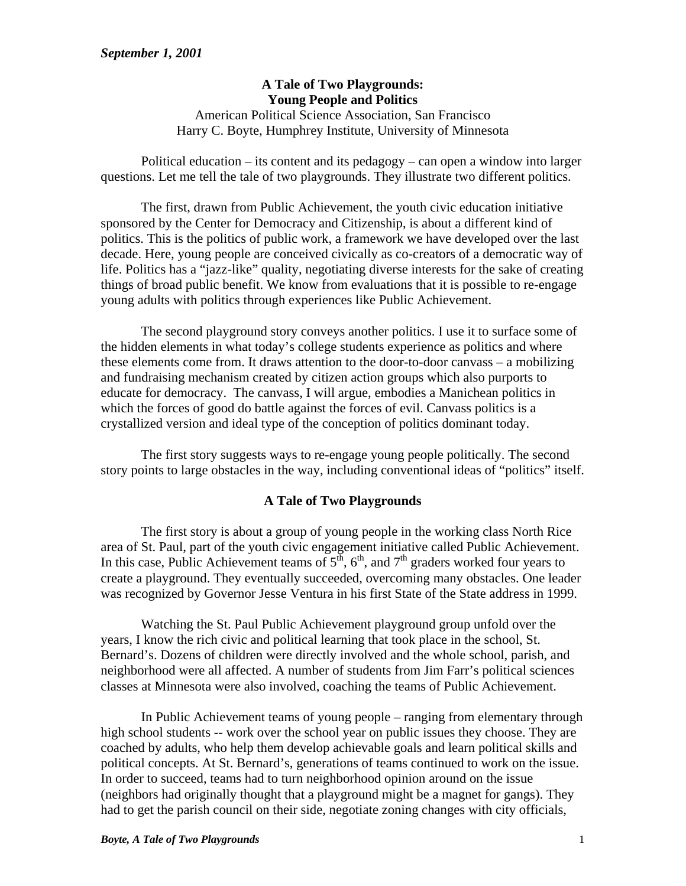## **A Tale of Two Playgrounds: Young People and Politics**

American Political Science Association, San Francisco Harry C. Boyte, Humphrey Institute, University of Minnesota

Political education – its content and its pedagogy – can open a window into larger questions. Let me tell the tale of two playgrounds. They illustrate two different politics.

The first, drawn from Public Achievement, the youth civic education initiative sponsored by the Center for Democracy and Citizenship, is about a different kind of politics. This is the politics of public work, a framework we have developed over the last decade. Here, young people are conceived civically as co-creators of a democratic way of life. Politics has a "jazz-like" quality, negotiating diverse interests for the sake of creating things of broad public benefit. We know from evaluations that it is possible to re-engage young adults with politics through experiences like Public Achievement.

The second playground story conveys another politics. I use it to surface some of the hidden elements in what today's college students experience as politics and where these elements come from. It draws attention to the door-to-door canvass – a mobilizing and fundraising mechanism created by citizen action groups which also purports to educate for democracy. The canvass, I will argue, embodies a Manichean politics in which the forces of good do battle against the forces of evil. Canvass politics is a crystallized version and ideal type of the conception of politics dominant today.

The first story suggests ways to re-engage young people politically. The second story points to large obstacles in the way, including conventional ideas of "politics" itself.

## **A Tale of Two Playgrounds**

The first story is about a group of young people in the working class North Rice area of St. Paul, part of the youth civic engagement initiative called Public Achievement. In this case, Public Achievement teams of  $5<sup>th</sup>$ ,  $6<sup>th</sup>$ , and  $7<sup>th</sup>$  graders worked four years to create a playground. They eventually succeeded, overcoming many obstacles. One leader was recognized by Governor Jesse Ventura in his first State of the State address in 1999.

Watching the St. Paul Public Achievement playground group unfold over the years, I know the rich civic and political learning that took place in the school, St. Bernard's. Dozens of children were directly involved and the whole school, parish, and neighborhood were all affected. A number of students from Jim Farr's political sciences classes at Minnesota were also involved, coaching the teams of Public Achievement.

In Public Achievement teams of young people – ranging from elementary through high school students -- work over the school year on public issues they choose. They are coached by adults, who help them develop achievable goals and learn political skills and political concepts. At St. Bernard's, generations of teams continued to work on the issue. In order to succeed, teams had to turn neighborhood opinion around on the issue (neighbors had originally thought that a playground might be a magnet for gangs). They had to get the parish council on their side, negotiate zoning changes with city officials,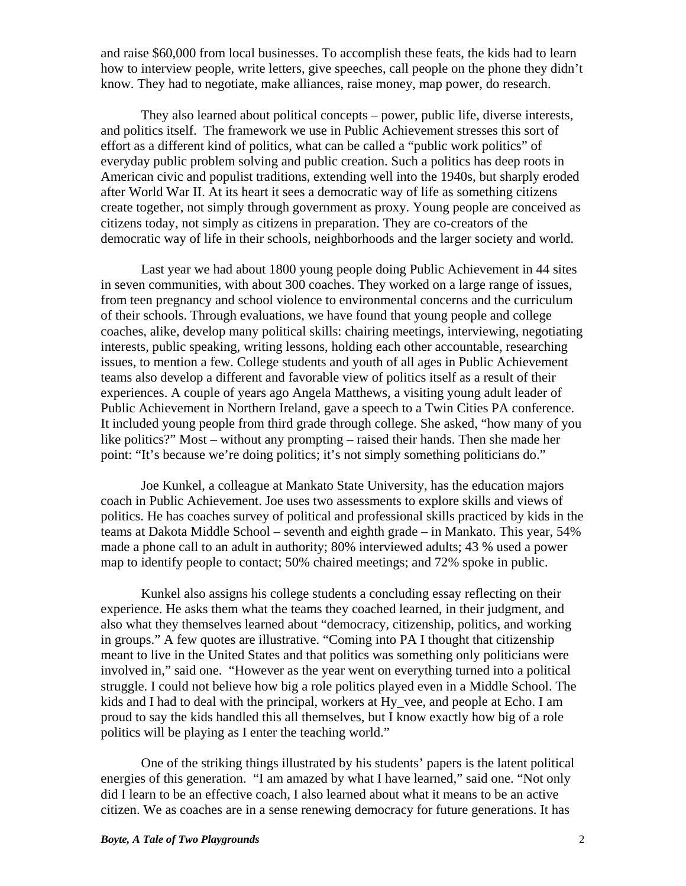and raise \$60,000 from local businesses. To accomplish these feats, the kids had to learn how to interview people, write letters, give speeches, call people on the phone they didn't know. They had to negotiate, make alliances, raise money, map power, do research.

They also learned about political concepts – power, public life, diverse interests, and politics itself. The framework we use in Public Achievement stresses this sort of effort as a different kind of politics, what can be called a "public work politics" of everyday public problem solving and public creation. Such a politics has deep roots in American civic and populist traditions, extending well into the 1940s, but sharply eroded after World War II. At its heart it sees a democratic way of life as something citizens create together, not simply through government as proxy. Young people are conceived as citizens today, not simply as citizens in preparation. They are co-creators of the democratic way of life in their schools, neighborhoods and the larger society and world.

Last year we had about 1800 young people doing Public Achievement in 44 sites in seven communities, with about 300 coaches. They worked on a large range of issues, from teen pregnancy and school violence to environmental concerns and the curriculum of their schools. Through evaluations, we have found that young people and college coaches, alike, develop many political skills: chairing meetings, interviewing, negotiating interests, public speaking, writing lessons, holding each other accountable, researching issues, to mention a few. College students and youth of all ages in Public Achievement teams also develop a different and favorable view of politics itself as a result of their experiences. A couple of years ago Angela Matthews, a visiting young adult leader of Public Achievement in Northern Ireland, gave a speech to a Twin Cities PA conference. It included young people from third grade through college. She asked, "how many of you like politics?" Most – without any prompting – raised their hands. Then she made her point: "It's because we're doing politics; it's not simply something politicians do."

Joe Kunkel, a colleague at Mankato State University, has the education majors coach in Public Achievement. Joe uses two assessments to explore skills and views of politics. He has coaches survey of political and professional skills practiced by kids in the teams at Dakota Middle School – seventh and eighth grade – in Mankato. This year, 54% made a phone call to an adult in authority; 80% interviewed adults; 43 % used a power map to identify people to contact; 50% chaired meetings; and 72% spoke in public.

Kunkel also assigns his college students a concluding essay reflecting on their experience. He asks them what the teams they coached learned, in their judgment, and also what they themselves learned about "democracy, citizenship, politics, and working in groups." A few quotes are illustrative. "Coming into PA I thought that citizenship meant to live in the United States and that politics was something only politicians were involved in," said one. "However as the year went on everything turned into a political struggle. I could not believe how big a role politics played even in a Middle School. The kids and I had to deal with the principal, workers at Hy\_vee, and people at Echo. I am proud to say the kids handled this all themselves, but I know exactly how big of a role politics will be playing as I enter the teaching world."

One of the striking things illustrated by his students' papers is the latent political energies of this generation. "I am amazed by what I have learned," said one. "Not only did I learn to be an effective coach, I also learned about what it means to be an active citizen. We as coaches are in a sense renewing democracy for future generations. It has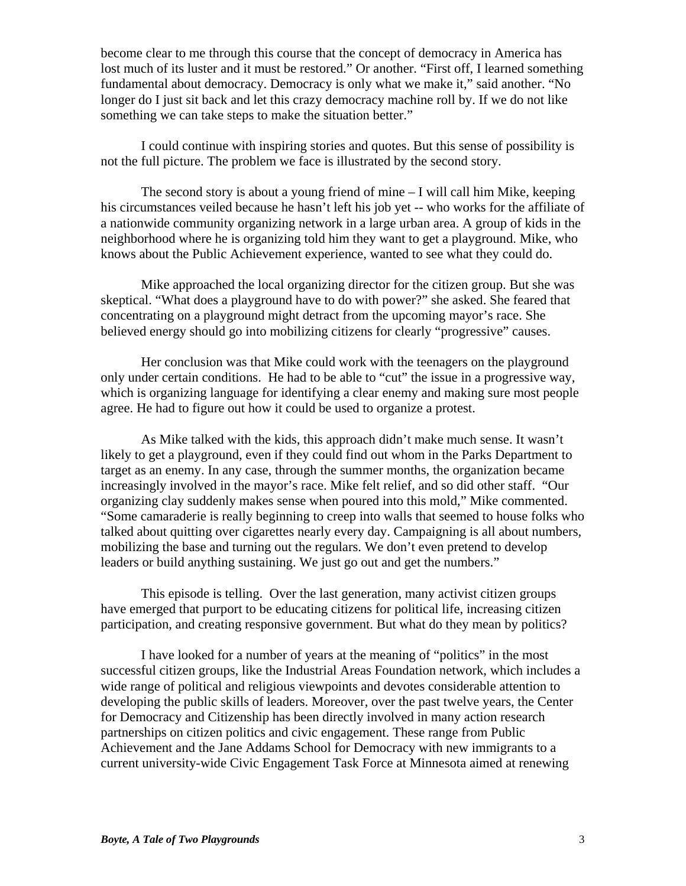become clear to me through this course that the concept of democracy in America has lost much of its luster and it must be restored." Or another. "First off, I learned something fundamental about democracy. Democracy is only what we make it," said another. "No longer do I just sit back and let this crazy democracy machine roll by. If we do not like something we can take steps to make the situation better."

I could continue with inspiring stories and quotes. But this sense of possibility is not the full picture. The problem we face is illustrated by the second story.

The second story is about a young friend of mine  $-I$  will call him Mike, keeping his circumstances veiled because he hasn't left his job yet -- who works for the affiliate of a nationwide community organizing network in a large urban area. A group of kids in the neighborhood where he is organizing told him they want to get a playground. Mike, who knows about the Public Achievement experience, wanted to see what they could do.

Mike approached the local organizing director for the citizen group. But she was skeptical. "What does a playground have to do with power?" she asked. She feared that concentrating on a playground might detract from the upcoming mayor's race. She believed energy should go into mobilizing citizens for clearly "progressive" causes.

Her conclusion was that Mike could work with the teenagers on the playground only under certain conditions. He had to be able to "cut" the issue in a progressive way, which is organizing language for identifying a clear enemy and making sure most people agree. He had to figure out how it could be used to organize a protest.

As Mike talked with the kids, this approach didn't make much sense. It wasn't likely to get a playground, even if they could find out whom in the Parks Department to target as an enemy. In any case, through the summer months, the organization became increasingly involved in the mayor's race. Mike felt relief, and so did other staff. "Our organizing clay suddenly makes sense when poured into this mold," Mike commented. "Some camaraderie is really beginning to creep into walls that seemed to house folks who talked about quitting over cigarettes nearly every day. Campaigning is all about numbers, mobilizing the base and turning out the regulars. We don't even pretend to develop leaders or build anything sustaining. We just go out and get the numbers."

This episode is telling. Over the last generation, many activist citizen groups have emerged that purport to be educating citizens for political life, increasing citizen participation, and creating responsive government. But what do they mean by politics?

I have looked for a number of years at the meaning of "politics" in the most successful citizen groups, like the Industrial Areas Foundation network, which includes a wide range of political and religious viewpoints and devotes considerable attention to developing the public skills of leaders. Moreover, over the past twelve years, the Center for Democracy and Citizenship has been directly involved in many action research partnerships on citizen politics and civic engagement. These range from Public Achievement and the Jane Addams School for Democracy with new immigrants to a current university-wide Civic Engagement Task Force at Minnesota aimed at renewing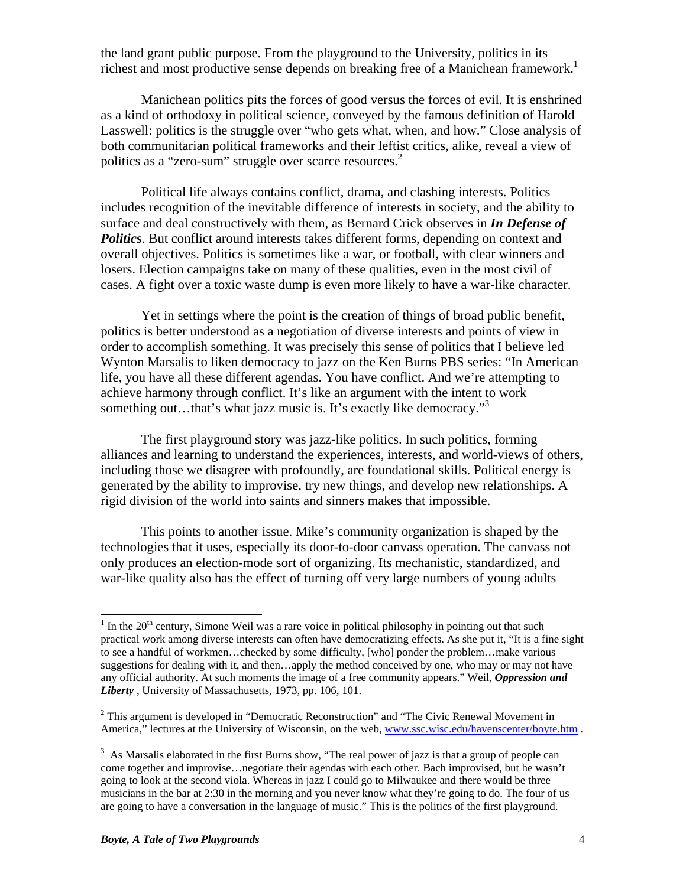the land grant public purpose. From the playground to the University, politics in its richest and most productive sense depends on breaking free of a Manichean framework.<sup>1</sup>

Manichean politics pits the forces of good versus the forces of evil. It is enshrined as a kind of orthodoxy in political science, conveyed by the famous definition of Harold Lasswell: politics is the struggle over "who gets what, when, and how." Close analysis of both communitarian political frameworks and their leftist critics, alike, reveal a view of politics as a "zero-sum" struggle over scarce resources. $2$ 

Political life always contains conflict, drama, and clashing interests. Politics includes recognition of the inevitable difference of interests in society, and the ability to surface and deal constructively with them, as Bernard Crick observes in *In Defense of Politics*. But conflict around interests takes different forms, depending on context and overall objectives. Politics is sometimes like a war, or football, with clear winners and losers. Election campaigns take on many of these qualities, even in the most civil of cases. A fight over a toxic waste dump is even more likely to have a war-like character.

Yet in settings where the point is the creation of things of broad public benefit, politics is better understood as a negotiation of diverse interests and points of view in order to accomplish something. It was precisely this sense of politics that I believe led Wynton Marsalis to liken democracy to jazz on the Ken Burns PBS series: "In American life, you have all these different agendas. You have conflict. And we're attempting to achieve harmony through conflict. It's like an argument with the intent to work something out...that's what jazz music is. It's exactly like democracy."<sup>3</sup>

The first playground story was jazz-like politics. In such politics, forming alliances and learning to understand the experiences, interests, and world-views of others, including those we disagree with profoundly, are foundational skills. Political energy is generated by the ability to improvise, try new things, and develop new relationships. A rigid division of the world into saints and sinners makes that impossible.

This points to another issue. Mike's community organization is shaped by the technologies that it uses, especially its door-to-door canvass operation. The canvass not only produces an election-mode sort of organizing. Its mechanistic, standardized, and war-like quality also has the effect of turning off very large numbers of young adults

 $\overline{a}$ 

 $1$  In the 20<sup>th</sup> century, Simone Weil was a rare voice in political philosophy in pointing out that such practical work among diverse interests can often have democratizing effects. As she put it, "It is a fine sight to see a handful of workmen…checked by some difficulty, [who] ponder the problem…make various suggestions for dealing with it, and then…apply the method conceived by one, who may or may not have any official authority. At such moments the image of a free community appears." Weil, *Oppression and Liberty* , University of Massachusetts, 1973, pp. 106, 101.

 $2$  This argument is developed in "Democratic Reconstruction" and "The Civic Renewal Movement in America," lectures at the University of Wisconsin, on the web, www.ssc.wisc.edu/havenscenter/boyte.htm .

 $3$  As Marsalis elaborated in the first Burns show, "The real power of jazz is that a group of people can come together and improvise…negotiate their agendas with each other. Bach improvised, but he wasn't going to look at the second viola. Whereas in jazz I could go to Milwaukee and there would be three musicians in the bar at 2:30 in the morning and you never know what they're going to do. The four of us are going to have a conversation in the language of music." This is the politics of the first playground.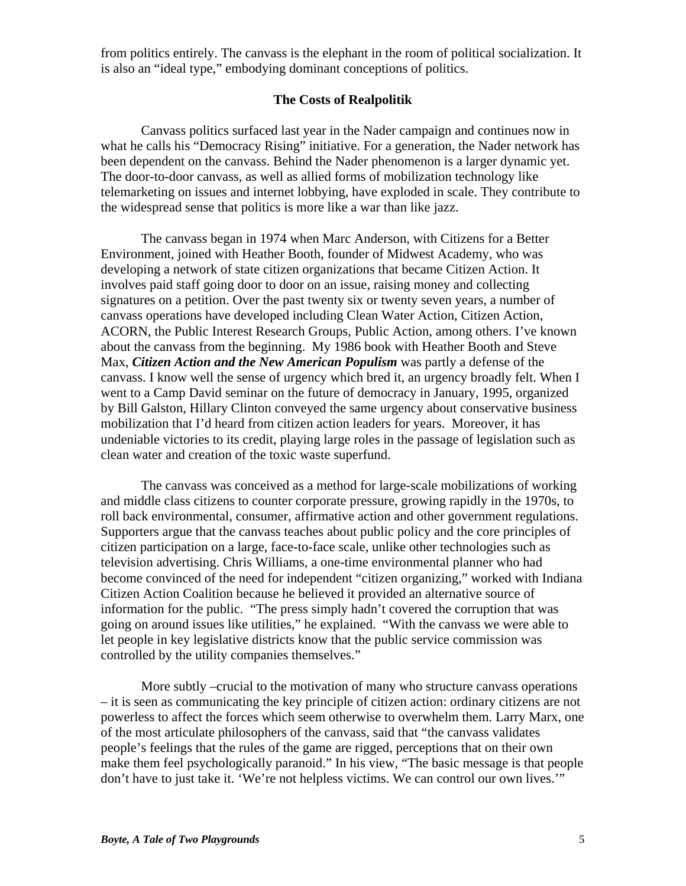from politics entirely. The canvass is the elephant in the room of political socialization. It is also an "ideal type," embodying dominant conceptions of politics.

## **The Costs of Realpolitik**

Canvass politics surfaced last year in the Nader campaign and continues now in what he calls his "Democracy Rising" initiative. For a generation, the Nader network has been dependent on the canvass. Behind the Nader phenomenon is a larger dynamic yet. The door-to-door canvass, as well as allied forms of mobilization technology like telemarketing on issues and internet lobbying, have exploded in scale. They contribute to the widespread sense that politics is more like a war than like jazz.

The canvass began in 1974 when Marc Anderson, with Citizens for a Better Environment, joined with Heather Booth, founder of Midwest Academy, who was developing a network of state citizen organizations that became Citizen Action. It involves paid staff going door to door on an issue, raising money and collecting signatures on a petition. Over the past twenty six or twenty seven years, a number of canvass operations have developed including Clean Water Action, Citizen Action, ACORN, the Public Interest Research Groups, Public Action, among others. I've known about the canvass from the beginning. My 1986 book with Heather Booth and Steve Max, *Citizen Action and the New American Populism* was partly a defense of the canvass. I know well the sense of urgency which bred it, an urgency broadly felt. When I went to a Camp David seminar on the future of democracy in January, 1995, organized by Bill Galston, Hillary Clinton conveyed the same urgency about conservative business mobilization that I'd heard from citizen action leaders for years. Moreover, it has undeniable victories to its credit, playing large roles in the passage of legislation such as clean water and creation of the toxic waste superfund.

The canvass was conceived as a method for large-scale mobilizations of working and middle class citizens to counter corporate pressure, growing rapidly in the 1970s, to roll back environmental, consumer, affirmative action and other government regulations. Supporters argue that the canvass teaches about public policy and the core principles of citizen participation on a large, face-to-face scale, unlike other technologies such as television advertising. Chris Williams, a one-time environmental planner who had become convinced of the need for independent "citizen organizing," worked with Indiana Citizen Action Coalition because he believed it provided an alternative source of information for the public. "The press simply hadn't covered the corruption that was going on around issues like utilities," he explained. "With the canvass we were able to let people in key legislative districts know that the public service commission was controlled by the utility companies themselves."

More subtly –crucial to the motivation of many who structure canvass operations – it is seen as communicating the key principle of citizen action: ordinary citizens are not powerless to affect the forces which seem otherwise to overwhelm them. Larry Marx, one of the most articulate philosophers of the canvass, said that "the canvass validates people's feelings that the rules of the game are rigged, perceptions that on their own make them feel psychologically paranoid." In his view, "The basic message is that people don't have to just take it. 'We're not helpless victims. We can control our own lives.'"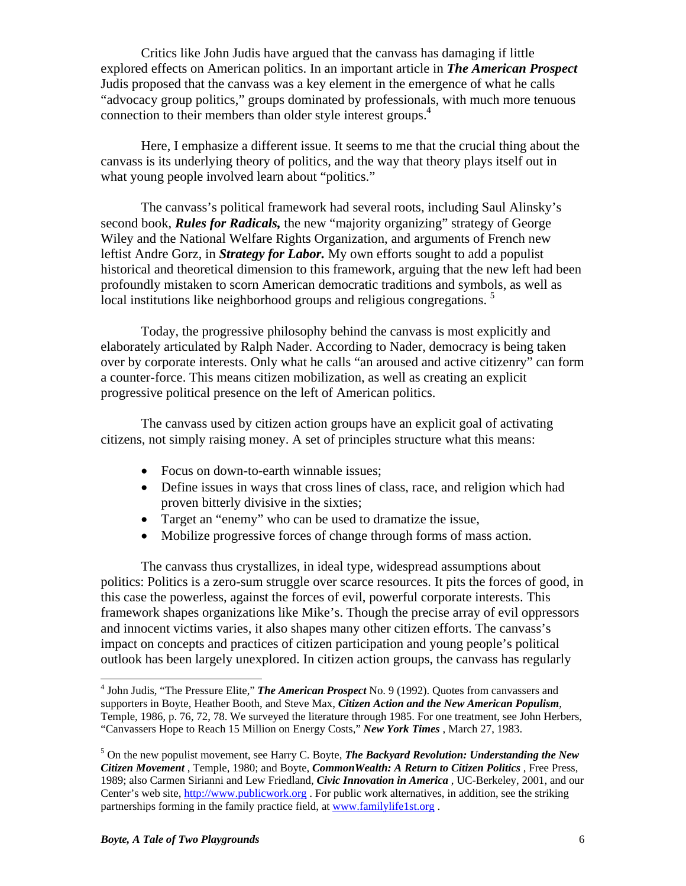Critics like John Judis have argued that the canvass has damaging if little explored effects on American politics. In an important article in *The American Prospect*  Judis proposed that the canvass was a key element in the emergence of what he calls "advocacy group politics," groups dominated by professionals, with much more tenuous connection to their members than older style interest groups.4

Here, I emphasize a different issue. It seems to me that the crucial thing about the canvass is its underlying theory of politics, and the way that theory plays itself out in what young people involved learn about "politics."

The canvass's political framework had several roots, including Saul Alinsky's second book, *Rules for Radicals,* the new "majority organizing" strategy of George Wiley and the National Welfare Rights Organization, and arguments of French new leftist Andre Gorz, in *Strategy for Labor.* My own efforts sought to add a populist historical and theoretical dimension to this framework, arguing that the new left had been profoundly mistaken to scorn American democratic traditions and symbols, as well as local institutions like neighborhood groups and religious congregations.<sup>5</sup>

Today, the progressive philosophy behind the canvass is most explicitly and elaborately articulated by Ralph Nader. According to Nader, democracy is being taken over by corporate interests. Only what he calls "an aroused and active citizenry" can form a counter-force. This means citizen mobilization, as well as creating an explicit progressive political presence on the left of American politics.

The canvass used by citizen action groups have an explicit goal of activating citizens, not simply raising money. A set of principles structure what this means:

- Focus on down-to-earth winnable issues;
- Define issues in ways that cross lines of class, race, and religion which had proven bitterly divisive in the sixties;
- Target an "enemy" who can be used to dramatize the issue,
- Mobilize progressive forces of change through forms of mass action.

The canvass thus crystallizes, in ideal type, widespread assumptions about politics: Politics is a zero-sum struggle over scarce resources. It pits the forces of good, in this case the powerless, against the forces of evil, powerful corporate interests. This framework shapes organizations like Mike's. Though the precise array of evil oppressors and innocent victims varies, it also shapes many other citizen efforts. The canvass's impact on concepts and practices of citizen participation and young people's political outlook has been largely unexplored. In citizen action groups, the canvass has regularly

 $\overline{a}$ 

<sup>&</sup>lt;sup>4</sup> John Judis, "The Pressure Elite," *The American Prospect* No. 9 (1992). Quotes from canvassers and supporters in Boyte, Heather Booth, and Steve Max, *Citizen Action and the New American Populism*, Temple, 1986, p. 76, 72, 78. We surveyed the literature through 1985. For one treatment, see John Herbers, "Canvassers Hope to Reach 15 Million on Energy Costs," *New York Times* , March 27, 1983.

<sup>5</sup> On the new populist movement, see Harry C. Boyte, *The Backyard Revolution: Understanding the New Citizen Movement* , Temple, 1980; and Boyte, *CommonWealth: A Return to Citizen Politics* , Free Press, 1989; also Carmen Sirianni and Lew Friedland, *Civic Innovation in America* , UC-Berkeley, 2001, and our Center's web site, http://www.publicwork.org. For public work alternatives, in addition, see the striking partnerships forming in the family practice field, at www.familylife1st.org .